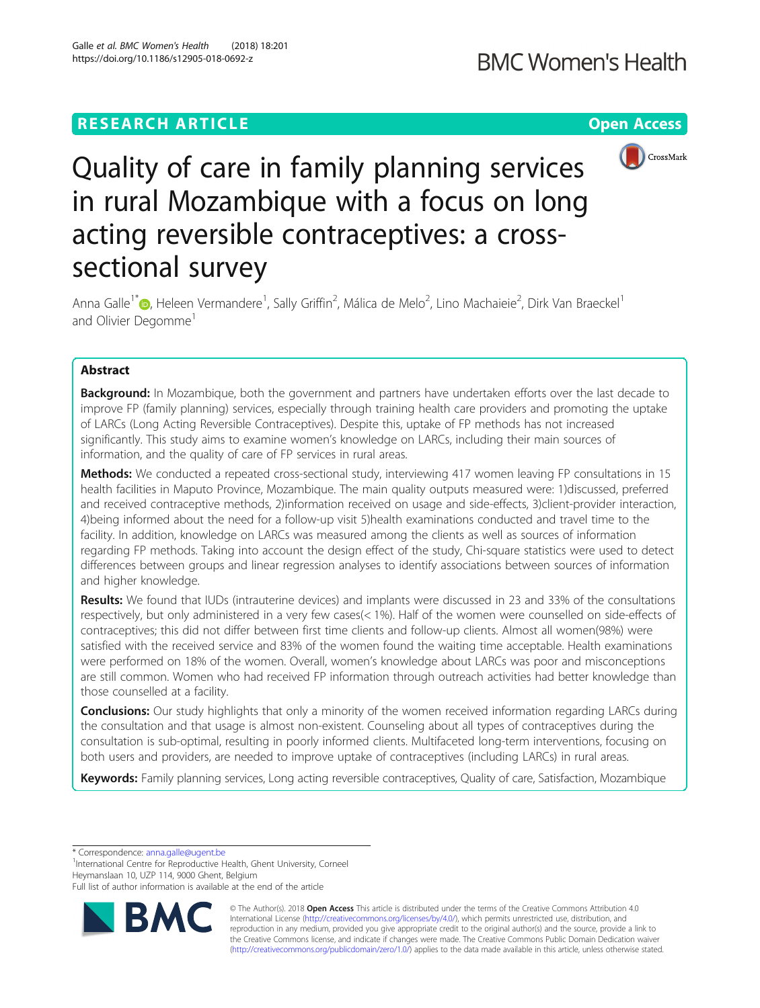## **RESEARCH ARTICLE Example 2014 12:30 The Contract of Contract ACCESS**



# Quality of care in family planning services in rural Mozambique with a focus on long acting reversible contraceptives: a crosssectional survey

Anna Galle<sup>1\*</sup> (**D**[,](http://orcid.org/0000-0003-1427-5067) Heleen Vermandere<sup>1</sup>, Sally Griffin<sup>2</sup>, Málica de Melo<sup>2</sup>, Lino Machaieie<sup>2</sup>, Dirk Van Braeckel<sup>1</sup> and Olivier Degomme<sup>1</sup>

## Abstract

Background: In Mozambique, both the government and partners have undertaken efforts over the last decade to improve FP (family planning) services, especially through training health care providers and promoting the uptake of LARCs (Long Acting Reversible Contraceptives). Despite this, uptake of FP methods has not increased significantly. This study aims to examine women's knowledge on LARCs, including their main sources of information, and the quality of care of FP services in rural areas.

Methods: We conducted a repeated cross-sectional study, interviewing 417 women leaving FP consultations in 15 health facilities in Maputo Province, Mozambique. The main quality outputs measured were: 1)discussed, preferred and received contraceptive methods, 2)information received on usage and side-effects, 3)client-provider interaction, 4)being informed about the need for a follow-up visit 5)health examinations conducted and travel time to the facility. In addition, knowledge on LARCs was measured among the clients as well as sources of information regarding FP methods. Taking into account the design effect of the study, Chi-square statistics were used to detect differences between groups and linear regression analyses to identify associations between sources of information and higher knowledge.

Results: We found that IUDs (intrauterine devices) and implants were discussed in 23 and 33% of the consultations respectively, but only administered in a very few cases(< 1%). Half of the women were counselled on side-effects of contraceptives; this did not differ between first time clients and follow-up clients. Almost all women(98%) were satisfied with the received service and 83% of the women found the waiting time acceptable. Health examinations were performed on 18% of the women. Overall, women's knowledge about LARCs was poor and misconceptions are still common. Women who had received FP information through outreach activities had better knowledge than those counselled at a facility.

**Conclusions:** Our study highlights that only a minority of the women received information regarding LARCs during the consultation and that usage is almost non-existent. Counseling about all types of contraceptives during the consultation is sub-optimal, resulting in poorly informed clients. Multifaceted long-term interventions, focusing on both users and providers, are needed to improve uptake of contraceptives (including LARCs) in rural areas.

Keywords: Family planning services, Long acting reversible contraceptives, Quality of care, Satisfaction, Mozambique

\* Correspondence: [anna.galle@ugent.be](mailto:anna.galle@ugent.be) <sup>1</sup>

<sup>1</sup>International Centre for Reproductive Health, Ghent University, Corneel Heymanslaan 10, UZP 114, 9000 Ghent, Belgium

Full list of author information is available at the end of the article



© The Author(s). 2018 Open Access This article is distributed under the terms of the Creative Commons Attribution 4.0 International License [\(http://creativecommons.org/licenses/by/4.0/](http://creativecommons.org/licenses/by/4.0/)), which permits unrestricted use, distribution, and reproduction in any medium, provided you give appropriate credit to the original author(s) and the source, provide a link to the Creative Commons license, and indicate if changes were made. The Creative Commons Public Domain Dedication waiver [\(http://creativecommons.org/publicdomain/zero/1.0/](http://creativecommons.org/publicdomain/zero/1.0/)) applies to the data made available in this article, unless otherwise stated.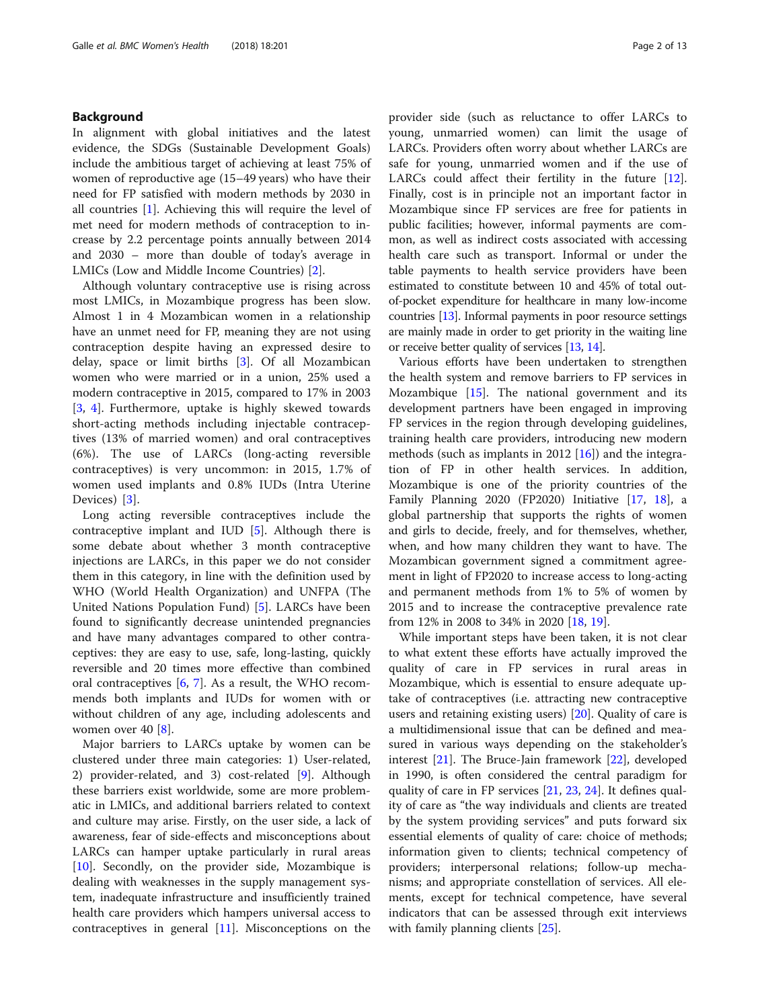### Background

In alignment with global initiatives and the latest evidence, the SDGs (Sustainable Development Goals) include the ambitious target of achieving at least 75% of women of reproductive age (15–49 years) who have their need for FP satisfied with modern methods by 2030 in all countries [[1\]](#page-11-0). Achieving this will require the level of met need for modern methods of contraception to increase by 2.2 percentage points annually between 2014 and 2030 – more than double of today's average in LMICs (Low and Middle Income Countries) [[2\]](#page-11-0).

Although voluntary contraceptive use is rising across most LMICs, in Mozambique progress has been slow. Almost 1 in 4 Mozambican women in a relationship have an unmet need for FP, meaning they are not using contraception despite having an expressed desire to delay, space or limit births [\[3](#page-11-0)]. Of all Mozambican women who were married or in a union, 25% used a modern contraceptive in 2015, compared to 17% in 2003 [[3,](#page-11-0) [4](#page-11-0)]. Furthermore, uptake is highly skewed towards short-acting methods including injectable contraceptives (13% of married women) and oral contraceptives (6%). The use of LARCs (long-acting reversible contraceptives) is very uncommon: in 2015, 1.7% of women used implants and 0.8% IUDs (Intra Uterine Devices) [[3](#page-11-0)].

Long acting reversible contraceptives include the contraceptive implant and IUD [\[5](#page-11-0)]. Although there is some debate about whether 3 month contraceptive injections are LARCs, in this paper we do not consider them in this category, in line with the definition used by WHO (World Health Organization) and UNFPA (The United Nations Population Fund) [[5](#page-11-0)]. LARCs have been found to significantly decrease unintended pregnancies and have many advantages compared to other contraceptives: they are easy to use, safe, long-lasting, quickly reversible and 20 times more effective than combined oral contraceptives [\[6](#page-11-0), [7\]](#page-11-0). As a result, the WHO recommends both implants and IUDs for women with or without children of any age, including adolescents and women over 40 [\[8](#page-11-0)].

Major barriers to LARCs uptake by women can be clustered under three main categories: 1) User-related, 2) provider-related, and 3) cost-related [[9\]](#page-11-0). Although these barriers exist worldwide, some are more problematic in LMICs, and additional barriers related to context and culture may arise. Firstly, on the user side, a lack of awareness, fear of side-effects and misconceptions about LARCs can hamper uptake particularly in rural areas [[10\]](#page-11-0). Secondly, on the provider side, Mozambique is dealing with weaknesses in the supply management system, inadequate infrastructure and insufficiently trained health care providers which hampers universal access to contraceptives in general  $[11]$  $[11]$ . Misconceptions on the provider side (such as reluctance to offer LARCs to young, unmarried women) can limit the usage of LARCs. Providers often worry about whether LARCs are safe for young, unmarried women and if the use of LARCs could affect their fertility in the future [\[12](#page-11-0)]. Finally, cost is in principle not an important factor in Mozambique since FP services are free for patients in public facilities; however, informal payments are common, as well as indirect costs associated with accessing health care such as transport. Informal or under the table payments to health service providers have been estimated to constitute between 10 and 45% of total outof-pocket expenditure for healthcare in many low-income countries [[13](#page-11-0)]. Informal payments in poor resource settings are mainly made in order to get priority in the waiting line or receive better quality of services [\[13](#page-11-0), [14\]](#page-11-0).

Various efforts have been undertaken to strengthen the health system and remove barriers to FP services in Mozambique [\[15\]](#page-11-0). The national government and its development partners have been engaged in improving FP services in the region through developing guidelines, training health care providers, introducing new modern methods (such as implants in 2012  $[16]$  $[16]$ ) and the integration of FP in other health services. In addition, Mozambique is one of the priority countries of the Family Planning 2020 (FP2020) Initiative [[17](#page-11-0), [18\]](#page-11-0), a global partnership that supports the rights of women and girls to decide, freely, and for themselves, whether, when, and how many children they want to have. The Mozambican government signed a commitment agreement in light of FP2020 to increase access to long-acting and permanent methods from 1% to 5% of women by 2015 and to increase the contraceptive prevalence rate from 12% in 2008 to 34% in 2020 [\[18,](#page-11-0) [19\]](#page-11-0).

While important steps have been taken, it is not clear to what extent these efforts have actually improved the quality of care in FP services in rural areas in Mozambique, which is essential to ensure adequate uptake of contraceptives (i.e. attracting new contraceptive users and retaining existing users) [\[20](#page-11-0)]. Quality of care is a multidimensional issue that can be defined and measured in various ways depending on the stakeholder's interest [\[21](#page-11-0)]. The Bruce-Jain framework [[22](#page-11-0)], developed in 1990, is often considered the central paradigm for quality of care in FP services [\[21](#page-11-0), [23](#page-11-0), [24](#page-11-0)]. It defines quality of care as "the way individuals and clients are treated by the system providing services" and puts forward six essential elements of quality of care: choice of methods; information given to clients; technical competency of providers; interpersonal relations; follow-up mechanisms; and appropriate constellation of services. All elements, except for technical competence, have several indicators that can be assessed through exit interviews with family planning clients [[25](#page-11-0)].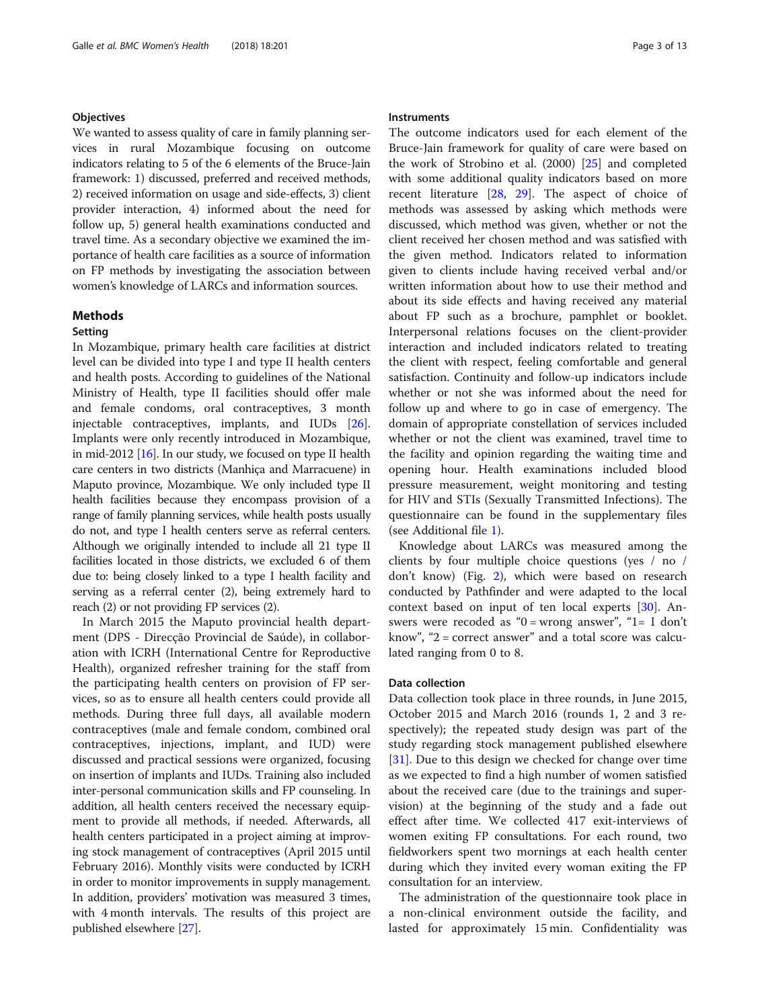### **Objectives**

We wanted to assess quality of care in family planning services in rural Mozambique focusing on outcome indicators relating to 5 of the 6 elements of the Bruce-Jain framework: 1) discussed, preferred and received methods, 2) received information on usage and side-effects, 3) client provider interaction, 4) informed about the need for follow up, 5) general health examinations conducted and travel time. As a secondary objective we examined the importance of health care facilities as a source of information on FP methods by investigating the association between women's knowledge of LARCs and information sources.

### Methods

### Setting

In Mozambique, primary health care facilities at district level can be divided into type I and type II health centers and health posts. According to guidelines of the National Ministry of Health, type II facilities should offer male and female condoms, oral contraceptives, 3 month injectable contraceptives, implants, and IUDs [\[26](#page-11-0)]. Implants were only recently introduced in Mozambique, in mid-2012 [\[16\]](#page-11-0). In our study, we focused on type II health care centers in two districts (Manhiça and Marracuene) in Maputo province, Mozambique. We only included type II health facilities because they encompass provision of a range of family planning services, while health posts usually do not, and type I health centers serve as referral centers. Although we originally intended to include all 21 type II facilities located in those districts, we excluded 6 of them due to: being closely linked to a type I health facility and serving as a referral center (2), being extremely hard to reach (2) or not providing FP services (2).

In March 2015 the Maputo provincial health department (DPS - Direcção Provincial de Saúde), in collaboration with ICRH (International Centre for Reproductive Health), organized refresher training for the staff from the participating health centers on provision of FP services, so as to ensure all health centers could provide all methods. During three full days, all available modern contraceptives (male and female condom, combined oral contraceptives, injections, implant, and IUD) were discussed and practical sessions were organized, focusing on insertion of implants and IUDs. Training also included inter-personal communication skills and FP counseling. In addition, all health centers received the necessary equipment to provide all methods, if needed. Afterwards, all health centers participated in a project aiming at improving stock management of contraceptives (April 2015 until February 2016). Monthly visits were conducted by ICRH in order to monitor improvements in supply management. In addition, providers' motivation was measured 3 times, with 4 month intervals. The results of this project are published elsewhere [[27](#page-11-0)].

### **Instruments**

The outcome indicators used for each element of the Bruce-Jain framework for quality of care were based on the work of Strobino et al. (2000) [[25\]](#page-11-0) and completed with some additional quality indicators based on more recent literature  $[28, 29]$  $[28, 29]$  $[28, 29]$  $[28, 29]$ . The aspect of choice of methods was assessed by asking which methods were discussed, which method was given, whether or not the client received her chosen method and was satisfied with the given method. Indicators related to information given to clients include having received verbal and/or written information about how to use their method and about its side effects and having received any material about FP such as a brochure, pamphlet or booklet. Interpersonal relations focuses on the client-provider interaction and included indicators related to treating the client with respect, feeling comfortable and general satisfaction. Continuity and follow-up indicators include whether or not she was informed about the need for follow up and where to go in case of emergency. The domain of appropriate constellation of services included whether or not the client was examined, travel time to the facility and opinion regarding the waiting time and opening hour. Health examinations included blood pressure measurement, weight monitoring and testing for HIV and STIs (Sexually Transmitted Infections). The questionnaire can be found in the supplementary files (see Additional file [1\)](#page-10-0).

Knowledge about LARCs was measured among the clients by four multiple choice questions (yes / no / don't know) (Fig. [2\)](#page-8-0), which were based on research conducted by Pathfinder and were adapted to the local context based on input of ten local experts [[30](#page-11-0)]. Answers were recoded as " $0 =$  wrong answer", " $1 =$  I don't know", "2 = correct answer" and a total score was calculated ranging from 0 to 8.

### Data collection

Data collection took place in three rounds, in June 2015, October 2015 and March 2016 (rounds 1, 2 and 3 respectively); the repeated study design was part of the study regarding stock management published elsewhere [[31\]](#page-11-0). Due to this design we checked for change over time as we expected to find a high number of women satisfied about the received care (due to the trainings and supervision) at the beginning of the study and a fade out effect after time. We collected 417 exit-interviews of women exiting FP consultations. For each round, two fieldworkers spent two mornings at each health center during which they invited every woman exiting the FP consultation for an interview.

The administration of the questionnaire took place in a non-clinical environment outside the facility, and lasted for approximately 15 min. Confidentiality was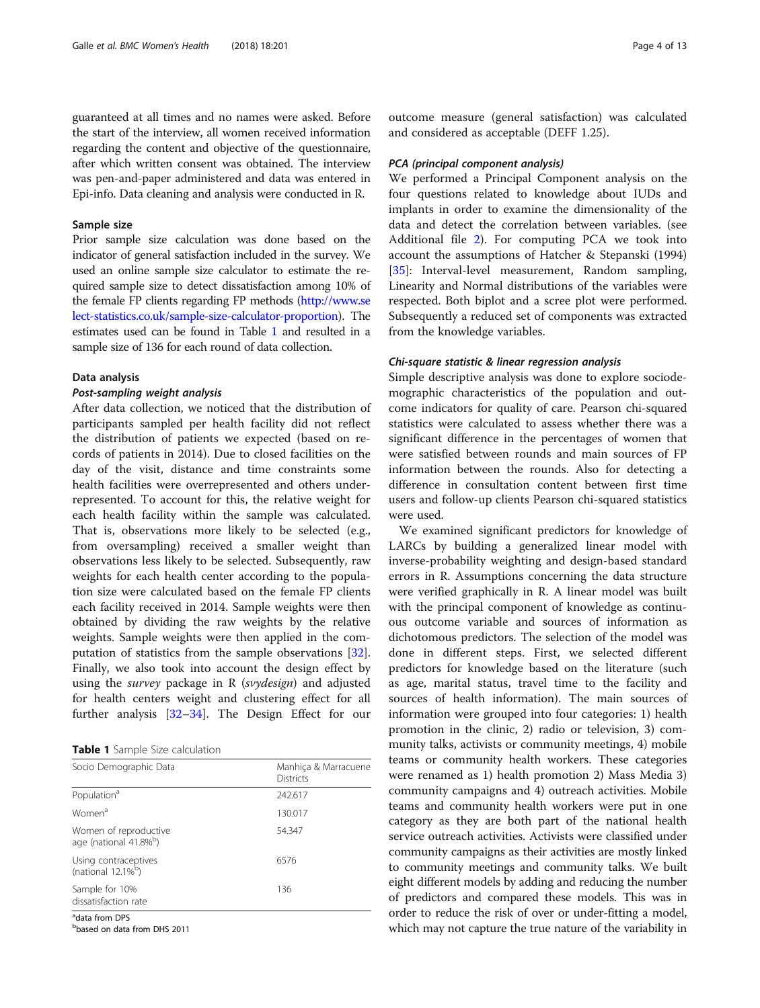guaranteed at all times and no names were asked. Before the start of the interview, all women received information regarding the content and objective of the questionnaire, after which written consent was obtained. The interview was pen-and-paper administered and data was entered in Epi-info. Data cleaning and analysis were conducted in R.

### Sample size

Prior sample size calculation was done based on the indicator of general satisfaction included in the survey. We used an online sample size calculator to estimate the required sample size to detect dissatisfaction among 10% of the female FP clients regarding FP methods ([http://www.se](http://www.select-statistics.co.uk/sample-size-calculator-proportion) [lect-statistics.co.uk/sample-size-calculator-proportion\)](http://www.select-statistics.co.uk/sample-size-calculator-proportion). The estimates used can be found in Table 1 and resulted in a sample size of 136 for each round of data collection.

### Data analysis

After data collection, we noticed that the distribution of participants sampled per health facility did not reflect the distribution of patients we expected (based on records of patients in 2014). Due to closed facilities on the day of the visit, distance and time constraints some health facilities were overrepresented and others underrepresented. To account for this, the relative weight for each health facility within the sample was calculated. That is, observations more likely to be selected (e.g., from oversampling) received a smaller weight than observations less likely to be selected. Subsequently, raw weights for each health center according to the population size were calculated based on the female FP clients each facility received in 2014. Sample weights were then obtained by dividing the raw weights by the relative weights. Sample weights were then applied in the computation of statistics from the sample observations [\[32](#page-11-0)]. Finally, we also took into account the design effect by using the survey package in R (svydesign) and adjusted for health centers weight and clustering effect for all further analysis [[32](#page-11-0)–[34\]](#page-12-0). The Design Effect for our

| Table 1 Sample Size calculation |  |  |  |  |
|---------------------------------|--|--|--|--|
|---------------------------------|--|--|--|--|

| Socio Demographic Data                                    | Manhica & Marracuene<br><b>Districts</b> |  |  |
|-----------------------------------------------------------|------------------------------------------|--|--|
| Population <sup>a</sup>                                   | 242.617                                  |  |  |
| Women <sup>a</sup>                                        | 130.017                                  |  |  |
| Women of reproductive<br>age (national 41.8%b)            | 54.347                                   |  |  |
| Using contraceptives<br>(national $12.1\%$ <sup>b</sup> ) | 6576                                     |  |  |
| Sample for 10%<br>dissatisfaction rate                    | 136                                      |  |  |
| 2.1.2.7.7                                                 |                                          |  |  |

<sup>a</sup>data from DPS

b based on data from DHS 2011

outcome measure (general satisfaction) was calculated and considered as acceptable (DEFF 1.25).

We performed a Principal Component analysis on the four questions related to knowledge about IUDs and implants in order to examine the dimensionality of the data and detect the correlation between variables. (see Additional file [2](#page-10-0)). For computing PCA we took into account the assumptions of Hatcher & Stepanski (1994) [[35\]](#page-12-0): Interval-level measurement, Random sampling, Linearity and Normal distributions of the variables were respected. Both biplot and a scree plot were performed. Subsequently a reduced set of components was extracted from the knowledge variables.

Simple descriptive analysis was done to explore sociodemographic characteristics of the population and outcome indicators for quality of care. Pearson chi-squared statistics were calculated to assess whether there was a significant difference in the percentages of women that were satisfied between rounds and main sources of FP information between the rounds. Also for detecting a difference in consultation content between first time users and follow-up clients Pearson chi-squared statistics were used.

We examined significant predictors for knowledge of LARCs by building a generalized linear model with inverse-probability weighting and design-based standard errors in R. Assumptions concerning the data structure were verified graphically in R. A linear model was built with the principal component of knowledge as continuous outcome variable and sources of information as dichotomous predictors. The selection of the model was done in different steps. First, we selected different predictors for knowledge based on the literature (such as age, marital status, travel time to the facility and sources of health information). The main sources of information were grouped into four categories: 1) health promotion in the clinic, 2) radio or television, 3) community talks, activists or community meetings, 4) mobile teams or community health workers. These categories were renamed as 1) health promotion 2) Mass Media 3) community campaigns and 4) outreach activities. Mobile teams and community health workers were put in one category as they are both part of the national health service outreach activities. Activists were classified under community campaigns as their activities are mostly linked to community meetings and community talks. We built eight different models by adding and reducing the number of predictors and compared these models. This was in order to reduce the risk of over or under-fitting a model, which may not capture the true nature of the variability in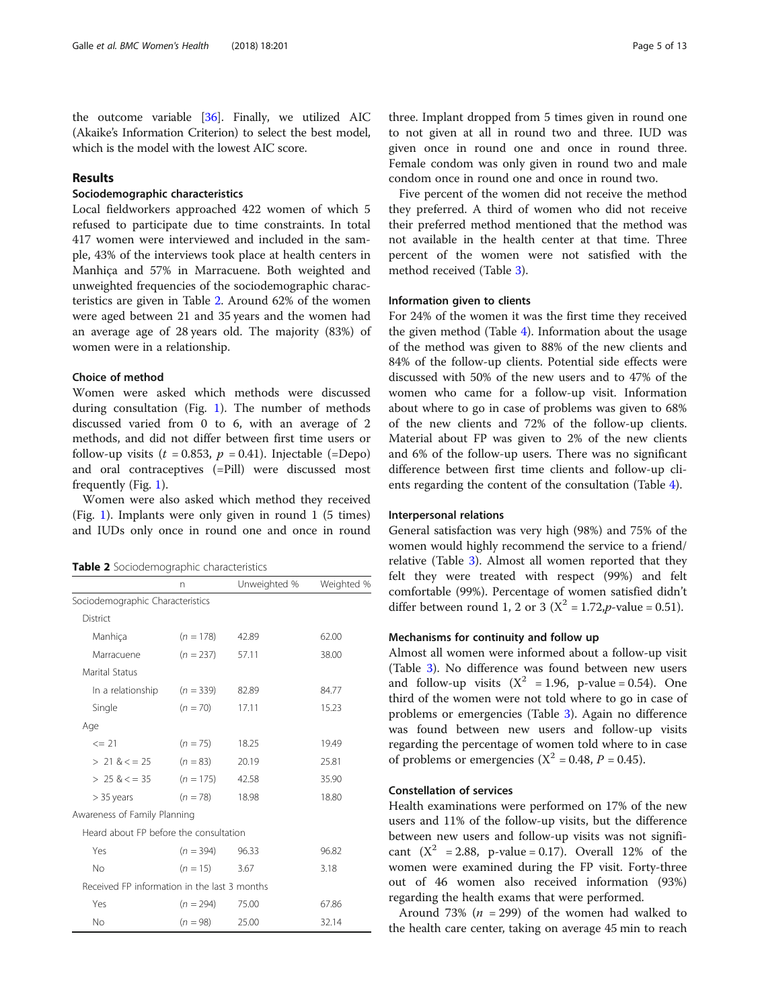<span id="page-4-0"></span>the outcome variable [[36](#page-12-0)]. Finally, we utilized AIC (Akaike's Information Criterion) to select the best model, which is the model with the lowest AIC score.

### Results

### Sociodemographic characteristics

Local fieldworkers approached 422 women of which 5 refused to participate due to time constraints. In total 417 women were interviewed and included in the sample, 43% of the interviews took place at health centers in Manhiça and 57% in Marracuene. Both weighted and unweighted frequencies of the sociodemographic characteristics are given in Table 2. Around 62% of the women were aged between 21 and 35 years and the women had an average age of 28 years old. The majority (83%) of women were in a relationship.

### Choice of method

Women were asked which methods were discussed during consultation (Fig. [1\)](#page-5-0). The number of methods discussed varied from 0 to 6, with an average of 2 methods, and did not differ between first time users or follow-up visits ( $t = 0.853$ ,  $p = 0.41$ ). Injectable (=Depo) and oral contraceptives (=Pill) were discussed most frequently (Fig. [1\)](#page-5-0).

Women were also asked which method they received (Fig. [1](#page-5-0)). Implants were only given in round 1 (5 times) and IUDs only once in round one and once in round

|                                              | n                                      | Unweighted % | Weighted % |  |  |  |
|----------------------------------------------|----------------------------------------|--------------|------------|--|--|--|
| Sociodemographic Characteristics             |                                        |              |            |  |  |  |
| District                                     |                                        |              |            |  |  |  |
| Manhiça                                      | $(n = 178)$                            | 42.89        | 62.00      |  |  |  |
| Marracuene                                   | $(n = 237)$                            | 57.11        | 38.00      |  |  |  |
| <b>Marital Status</b>                        |                                        |              |            |  |  |  |
| In a relationship                            | $(n = 339)$                            | 82.89        | 84.77      |  |  |  |
| Single                                       | $(n = 70)$                             | 17.11        | 15.23      |  |  |  |
| Age                                          |                                        |              |            |  |  |  |
| $\leq$ 21                                    | $(n = 75)$                             | 18.25        | 19.49      |  |  |  |
| $> 21$ & $\lt$ = 25                          | $(n = 83)$                             | 20.19        | 25.81      |  |  |  |
| $> 25 \< = 35$ (n = 175)                     |                                        | 42.58        | 35.90      |  |  |  |
| $>$ 35 years                                 | $(n = 78)$                             | 18.98        | 18.80      |  |  |  |
| Awareness of Family Planning                 |                                        |              |            |  |  |  |
|                                              | Heard about FP before the consultation |              |            |  |  |  |
| Yes                                          | $(n = 394)$                            | 96.33        | 96.82      |  |  |  |
| <b>No</b>                                    | $(n = 15)$                             | 3.67         | 3.18       |  |  |  |
| Received FP information in the last 3 months |                                        |              |            |  |  |  |
| Yes                                          | $(n = 294)$                            | 75.00        | 67.86      |  |  |  |
| No                                           | $(n = 98)$                             | 25.00        | 32.14      |  |  |  |

three. Implant dropped from 5 times given in round one to not given at all in round two and three. IUD was given once in round one and once in round three. Female condom was only given in round two and male condom once in round one and once in round two.

Five percent of the women did not receive the method they preferred. A third of women who did not receive their preferred method mentioned that the method was not available in the health center at that time. Three percent of the women were not satisfied with the method received (Table [3\)](#page-6-0).

### Information given to clients

For 24% of the women it was the first time they received the given method (Table [4](#page-7-0)). Information about the usage of the method was given to 88% of the new clients and 84% of the follow-up clients. Potential side effects were discussed with 50% of the new users and to 47% of the women who came for a follow-up visit. Information about where to go in case of problems was given to 68% of the new clients and 72% of the follow-up clients. Material about FP was given to 2% of the new clients and 6% of the follow-up users. There was no significant difference between first time clients and follow-up clients regarding the content of the consultation (Table [4\)](#page-7-0).

### Interpersonal relations

General satisfaction was very high (98%) and 75% of the women would highly recommend the service to a friend/ relative (Table [3](#page-6-0)). Almost all women reported that they felt they were treated with respect (99%) and felt comfortable (99%). Percentage of women satisfied didn't differ between round 1, 2 or 3 ( $X^2 = 1.72$ , *p*-value = 0.51).

### Mechanisms for continuity and follow up

Almost all women were informed about a follow-up visit (Table [3](#page-6-0)). No difference was found between new users and follow-up visits  $(X^2 = 1.96, p-value = 0.54)$ . One third of the women were not told where to go in case of problems or emergencies (Table [3](#page-6-0)). Again no difference was found between new users and follow-up visits regarding the percentage of women told where to in case of problems or emergencies ( $X^2 = 0.48$ ,  $P = 0.45$ ).

### Constellation of services

Health examinations were performed on 17% of the new users and 11% of the follow-up visits, but the difference between new users and follow-up visits was not significant  $(X^2 = 2.88, p-value = 0.17)$ . Overall 12% of the women were examined during the FP visit. Forty-three out of 46 women also received information (93%) regarding the health exams that were performed.

Around 73% ( $n = 299$ ) of the women had walked to the health care center, taking on average 45 min to reach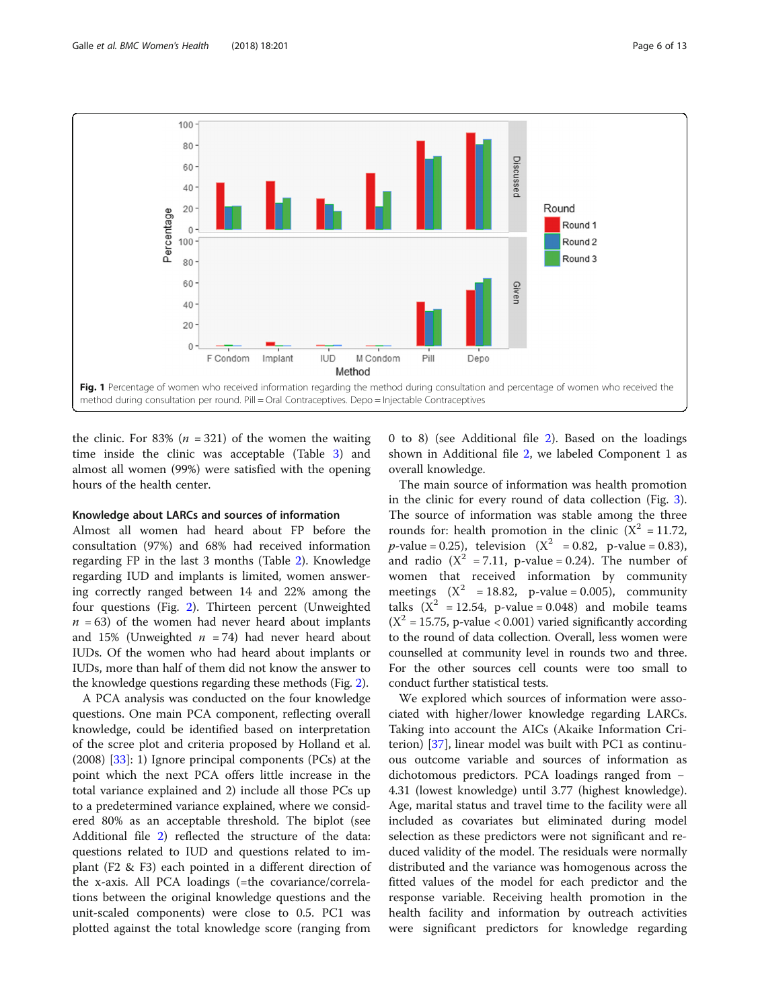<span id="page-5-0"></span>

the clinic. For 83% ( $n = 321$ ) of the women the waiting time inside the clinic was acceptable (Table [3](#page-6-0)) and almost all women (99%) were satisfied with the opening hours of the health center.

### Knowledge about LARCs and sources of information

Almost all women had heard about FP before the consultation (97%) and 68% had received information regarding FP in the last 3 months (Table [2](#page-4-0)). Knowledge regarding IUD and implants is limited, women answering correctly ranged between 14 and 22% among the four questions (Fig. [2\)](#page-8-0). Thirteen percent (Unweighted  $n = 63$ ) of the women had never heard about implants and 15% (Unweighted  $n = 74$ ) had never heard about IUDs. Of the women who had heard about implants or IUDs, more than half of them did not know the answer to the knowledge questions regarding these methods (Fig. [2\)](#page-8-0).

A PCA analysis was conducted on the four knowledge questions. One main PCA component, reflecting overall knowledge, could be identified based on interpretation of the scree plot and criteria proposed by Holland et al. (2008) [\[33\]](#page-11-0): 1) Ignore principal components (PCs) at the point which the next PCA offers little increase in the total variance explained and 2) include all those PCs up to a predetermined variance explained, where we considered 80% as an acceptable threshold. The biplot (see Additional file [2](#page-10-0)) reflected the structure of the data: questions related to IUD and questions related to implant (F2 & F3) each pointed in a different direction of the x-axis. All PCA loadings (=the covariance/correlations between the original knowledge questions and the unit-scaled components) were close to 0.5. PC1 was plotted against the total knowledge score (ranging from 0 to 8) (see Additional file [2](#page-10-0)). Based on the loadings shown in Additional file [2](#page-10-0), we labeled Component 1 as overall knowledge.

The main source of information was health promotion in the clinic for every round of data collection (Fig. [3](#page-8-0)). The source of information was stable among the three rounds for: health promotion in the clinic  $(X^2 = 11.72)$ ,  $p$ -value = 0.25), television ( $X^2$  = 0.82, p-value = 0.83), and radio  $(X^2 = 7.11$ , p-value = 0.24). The number of women that received information by community meetings  $(X^2 = 18.82, p-value = 0.005)$ , community talks  $(X^2 = 12.54, p-value = 0.048)$  and mobile teams  $(X^2 = 15.75, p-value < 0.001)$  varied significantly according to the round of data collection. Overall, less women were counselled at community level in rounds two and three. For the other sources cell counts were too small to conduct further statistical tests.

We explored which sources of information were associated with higher/lower knowledge regarding LARCs. Taking into account the AICs (Akaike Information Criterion) [\[37](#page-12-0)], linear model was built with PC1 as continuous outcome variable and sources of information as dichotomous predictors. PCA loadings ranged from − 4.31 (lowest knowledge) until 3.77 (highest knowledge). Age, marital status and travel time to the facility were all included as covariates but eliminated during model selection as these predictors were not significant and reduced validity of the model. The residuals were normally distributed and the variance was homogenous across the fitted values of the model for each predictor and the response variable. Receiving health promotion in the health facility and information by outreach activities were significant predictors for knowledge regarding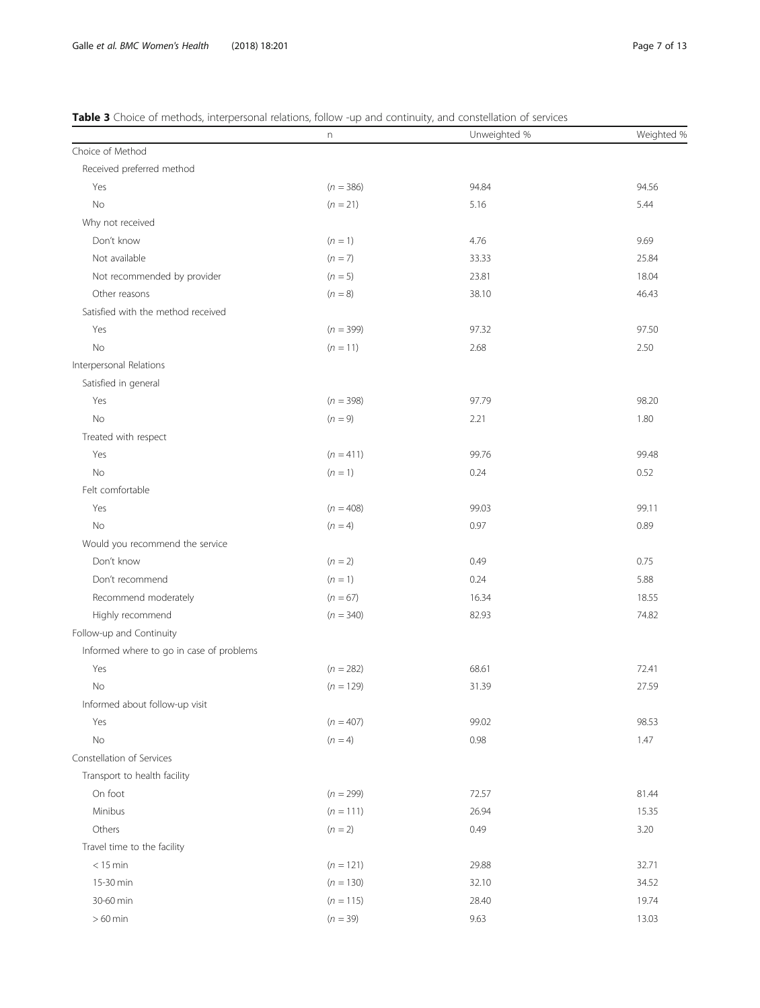## <span id="page-6-0"></span>Table 3 Choice of methods, interpersonal relations, follow -up and continuity, and constellation of services

|                                          | $\mathsf{n}$ | Unweighted % | Weighted % |
|------------------------------------------|--------------|--------------|------------|
| Choice of Method                         |              |              |            |
| Received preferred method                |              |              |            |
| Yes                                      | $(n = 386)$  | 94.84        | 94.56      |
| <b>No</b>                                | $(n = 21)$   | 5.16         | 5.44       |
| Why not received                         |              |              |            |
| Don't know                               | $(n = 1)$    | 4.76         | 9.69       |
| Not available                            | $(n = 7)$    | 33.33        | 25.84      |
| Not recommended by provider              | $(n = 5)$    | 23.81        | 18.04      |
| Other reasons                            | $(n = 8)$    | 38.10        | 46.43      |
| Satisfied with the method received       |              |              |            |
| Yes                                      | $(n = 399)$  | 97.32        | 97.50      |
| <b>No</b>                                | $(n = 11)$   | 2.68         | 2.50       |
| Interpersonal Relations                  |              |              |            |
| Satisfied in general                     |              |              |            |
| Yes                                      | $(n = 398)$  | 97.79        | 98.20      |
| No                                       | $(n = 9)$    | 2.21         | 1.80       |
| Treated with respect                     |              |              |            |
| Yes                                      | $(n = 411)$  | 99.76        | 99.48      |
| No                                       | $(n = 1)$    | 0.24         | 0.52       |
| Felt comfortable                         |              |              |            |
| Yes                                      | $(n = 408)$  | 99.03        | 99.11      |
| No                                       | $(n = 4)$    | 0.97         | 0.89       |
| Would you recommend the service          |              |              |            |
| Don't know                               | $(n = 2)$    | 0.49         | 0.75       |
| Don't recommend                          | $(n = 1)$    | 0.24         | 5.88       |
| Recommend moderately                     | $(n = 67)$   | 16.34        | 18.55      |
| Highly recommend                         | $(n = 340)$  | 82.93        | 74.82      |
| Follow-up and Continuity                 |              |              |            |
| Informed where to go in case of problems |              |              |            |
| Yes                                      | $(n = 282)$  | 68.61        | 72.41      |
| No                                       | $(n = 129)$  | 31.39        | 27.59      |
| Informed about follow-up visit           |              |              |            |
| Yes                                      | $(n = 407)$  | 99.02        | 98.53      |
| <b>No</b>                                | $(n = 4)$    | 0.98         | 1.47       |
| Constellation of Services                |              |              |            |
| Transport to health facility             |              |              |            |
| On foot                                  | $(n = 299)$  | 72.57        | 81.44      |
| Minibus                                  | $(n = 111)$  | 26.94        | 15.35      |
| Others                                   | $(n = 2)$    | 0.49         | 3.20       |
| Travel time to the facility              |              |              |            |
| $<$ 15 min                               | $(n = 121)$  | 29.88        | 32.71      |
| 15-30 min                                | $(n = 130)$  | 32.10        | 34.52      |
| 30-60 min                                | $(n = 115)$  | 28.40        | 19.74      |
| $>60$ min                                | $(n = 39)$   | 9.63         | 13.03      |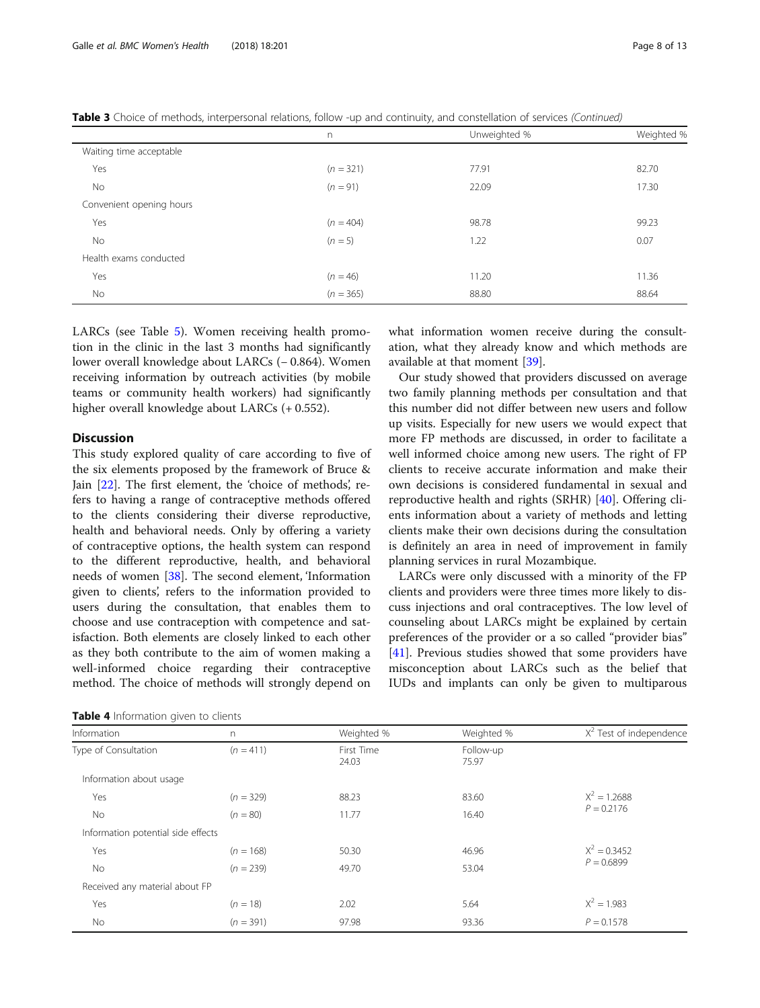<span id="page-7-0"></span>

|                          | n           | Unweighted % | Weighted % |
|--------------------------|-------------|--------------|------------|
| Waiting time acceptable  |             |              |            |
| Yes                      | $(n = 321)$ | 77.91        | 82.70      |
| <b>No</b>                | $(n = 91)$  | 22.09        | 17.30      |
| Convenient opening hours |             |              |            |
| Yes                      | $(n = 404)$ | 98.78        | 99.23      |
| No                       | $(n = 5)$   | 1.22         | 0.07       |
| Health exams conducted   |             |              |            |
| Yes                      | $(n = 46)$  | 11.20        | 11.36      |
| No                       | $(n = 365)$ | 88.80        | 88.64      |

LARCs (see Table [5\)](#page-9-0). Women receiving health promotion in the clinic in the last 3 months had significantly lower overall knowledge about LARCs (− 0.864). Women receiving information by outreach activities (by mobile teams or community health workers) had significantly higher overall knowledge about LARCs (+ 0.552).

### **Discussion**

This study explored quality of care according to five of the six elements proposed by the framework of Bruce & Jain [\[22](#page-11-0)]. The first element, the 'choice of methods', refers to having a range of contraceptive methods offered to the clients considering their diverse reproductive, health and behavioral needs. Only by offering a variety of contraceptive options, the health system can respond to the different reproductive, health, and behavioral needs of women [[38\]](#page-12-0). The second element, 'Information given to clients', refers to the information provided to users during the consultation, that enables them to choose and use contraception with competence and satisfaction. Both elements are closely linked to each other as they both contribute to the aim of women making a well-informed choice regarding their contraceptive method. The choice of methods will strongly depend on

| Table 4 Information given to clients |  |  |  |
|--------------------------------------|--|--|--|
|--------------------------------------|--|--|--|

what information women receive during the consultation, what they already know and which methods are available at that moment [\[39](#page-12-0)].

Our study showed that providers discussed on average two family planning methods per consultation and that this number did not differ between new users and follow up visits. Especially for new users we would expect that more FP methods are discussed, in order to facilitate a well informed choice among new users. The right of FP clients to receive accurate information and make their own decisions is considered fundamental in sexual and reproductive health and rights (SRHR) [[40\]](#page-12-0). Offering clients information about a variety of methods and letting clients make their own decisions during the consultation is definitely an area in need of improvement in family planning services in rural Mozambique.

LARCs were only discussed with a minority of the FP clients and providers were three times more likely to discuss injections and oral contraceptives. The low level of counseling about LARCs might be explained by certain preferences of the provider or a so called "provider bias" [[41\]](#page-12-0). Previous studies showed that some providers have misconception about LARCs such as the belief that IUDs and implants can only be given to multiparous

| $X^2$ Test of independence<br>Weighted % |
|------------------------------------------|
|                                          |
|                                          |
|                                          |
| $X^2 = 1.2688$                           |
| $P = 0.2176$                             |
|                                          |
| $X^2 = 0.3452$                           |
| $P = 0.6899$                             |
|                                          |
| $X^2 = 1.983$                            |
| $P = 0.1578$                             |
|                                          |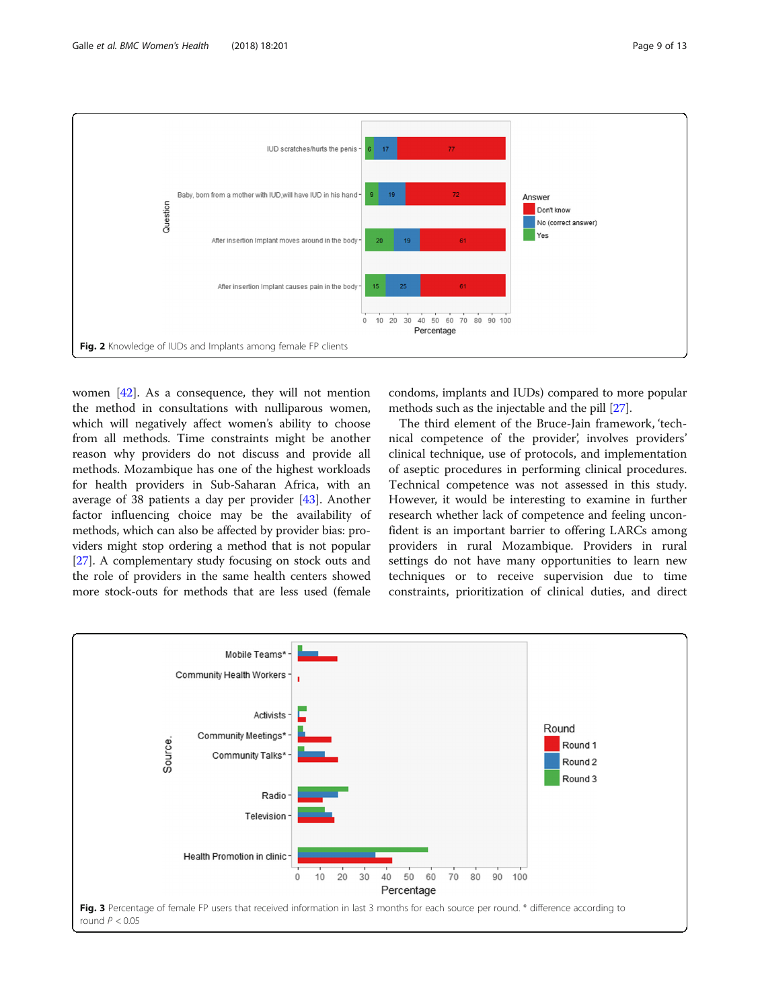<span id="page-8-0"></span>

women [\[42](#page-12-0)]. As a consequence, they will not mention the method in consultations with nulliparous women, which will negatively affect women's ability to choose from all methods. Time constraints might be another reason why providers do not discuss and provide all methods. Mozambique has one of the highest workloads for health providers in Sub-Saharan Africa, with an average of 38 patients a day per provider [\[43](#page-12-0)]. Another factor influencing choice may be the availability of methods, which can also be affected by provider bias: providers might stop ordering a method that is not popular [[27](#page-11-0)]. A complementary study focusing on stock outs and the role of providers in the same health centers showed more stock-outs for methods that are less used (female

condoms, implants and IUDs) compared to more popular methods such as the injectable and the pill [[27](#page-11-0)].

The third element of the Bruce-Jain framework, 'technical competence of the provider', involves providers' clinical technique, use of protocols, and implementation of aseptic procedures in performing clinical procedures. Technical competence was not assessed in this study. However, it would be interesting to examine in further research whether lack of competence and feeling unconfident is an important barrier to offering LARCs among providers in rural Mozambique. Providers in rural settings do not have many opportunities to learn new techniques or to receive supervision due to time constraints, prioritization of clinical duties, and direct

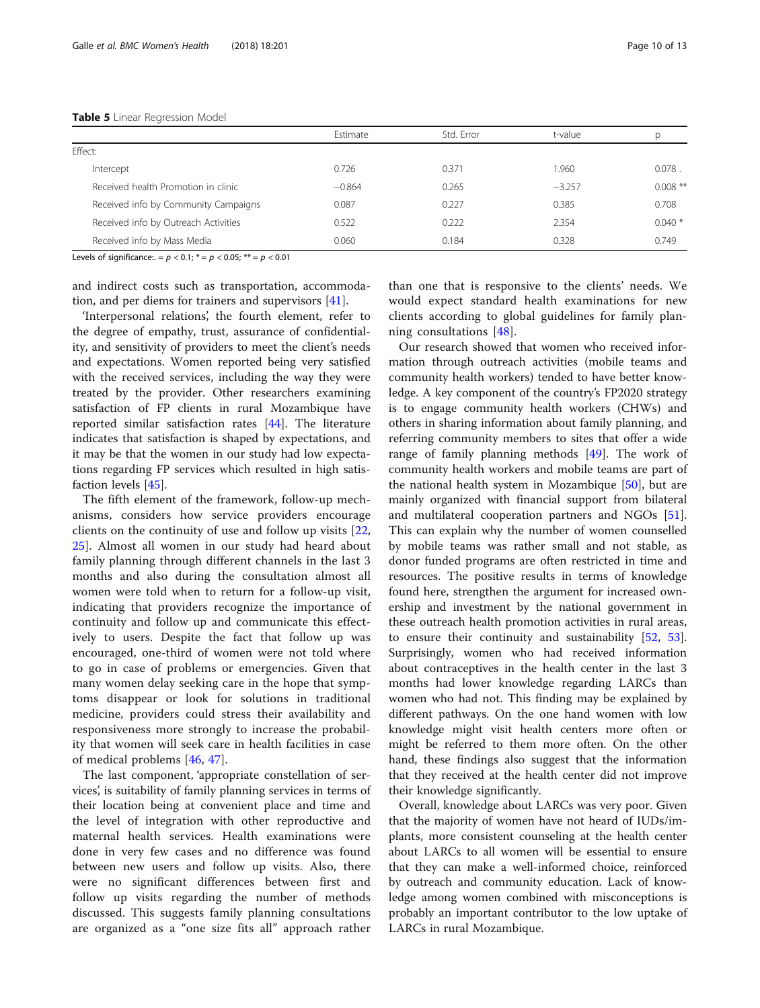### <span id="page-9-0"></span>Table 5 Linear Regression Model

|                                      | Estimate | Std. Error | t-value  |            |
|--------------------------------------|----------|------------|----------|------------|
| Effect:                              |          |            |          |            |
| Intercept                            | 0.726    | 0.371      | 1.960    | $0.078$ .  |
| Received health Promotion in clinic  | $-0.864$ | 0.265      | $-3.257$ | $0.008$ ** |
| Received info by Community Campaigns | 0.087    | 0.227      | 0.385    | 0.708      |
| Received info by Outreach Activities | 0.522    | 0.222      | 2.354    | $0.040*$   |
| Received info by Mass Media          | 0.060    | 0.184      | 0.328    | 0.749      |

Levels of significance:. =  $p < 0.1$ ;  $* = p < 0.05$ ;  $** = p < 0.01$ 

and indirect costs such as transportation, accommodation, and per diems for trainers and supervisors [\[41\]](#page-12-0).

'Interpersonal relations', the fourth element, refer to the degree of empathy, trust, assurance of confidentiality, and sensitivity of providers to meet the client's needs and expectations. Women reported being very satisfied with the received services, including the way they were treated by the provider. Other researchers examining satisfaction of FP clients in rural Mozambique have reported similar satisfaction rates [\[44](#page-12-0)]. The literature indicates that satisfaction is shaped by expectations, and it may be that the women in our study had low expectations regarding FP services which resulted in high satisfaction levels [[45\]](#page-12-0).

The fifth element of the framework, follow-up mechanisms, considers how service providers encourage clients on the continuity of use and follow up visits [\[22](#page-11-0), [25\]](#page-11-0). Almost all women in our study had heard about family planning through different channels in the last 3 months and also during the consultation almost all women were told when to return for a follow-up visit, indicating that providers recognize the importance of continuity and follow up and communicate this effectively to users. Despite the fact that follow up was encouraged, one-third of women were not told where to go in case of problems or emergencies. Given that many women delay seeking care in the hope that symptoms disappear or look for solutions in traditional medicine, providers could stress their availability and responsiveness more strongly to increase the probability that women will seek care in health facilities in case of medical problems [[46](#page-12-0), [47](#page-12-0)].

The last component, 'appropriate constellation of services', is suitability of family planning services in terms of their location being at convenient place and time and the level of integration with other reproductive and maternal health services. Health examinations were done in very few cases and no difference was found between new users and follow up visits. Also, there were no significant differences between first and follow up visits regarding the number of methods discussed. This suggests family planning consultations are organized as a "one size fits all" approach rather

than one that is responsive to the clients' needs. We would expect standard health examinations for new clients according to global guidelines for family planning consultations [[48\]](#page-12-0).

Our research showed that women who received information through outreach activities (mobile teams and community health workers) tended to have better knowledge. A key component of the country's FP2020 strategy is to engage community health workers (CHWs) and others in sharing information about family planning, and referring community members to sites that offer a wide range of family planning methods [\[49\]](#page-12-0). The work of community health workers and mobile teams are part of the national health system in Mozambique [\[50\]](#page-12-0), but are mainly organized with financial support from bilateral and multilateral cooperation partners and NGOs [\[51](#page-12-0)]. This can explain why the number of women counselled by mobile teams was rather small and not stable, as donor funded programs are often restricted in time and resources. The positive results in terms of knowledge found here, strengthen the argument for increased ownership and investment by the national government in these outreach health promotion activities in rural areas, to ensure their continuity and sustainability [[52,](#page-12-0) [53](#page-12-0)]. Surprisingly, women who had received information about contraceptives in the health center in the last 3 months had lower knowledge regarding LARCs than women who had not. This finding may be explained by different pathways. On the one hand women with low knowledge might visit health centers more often or might be referred to them more often. On the other hand, these findings also suggest that the information that they received at the health center did not improve their knowledge significantly.

Overall, knowledge about LARCs was very poor. Given that the majority of women have not heard of IUDs/implants, more consistent counseling at the health center about LARCs to all women will be essential to ensure that they can make a well-informed choice, reinforced by outreach and community education. Lack of knowledge among women combined with misconceptions is probably an important contributor to the low uptake of LARCs in rural Mozambique.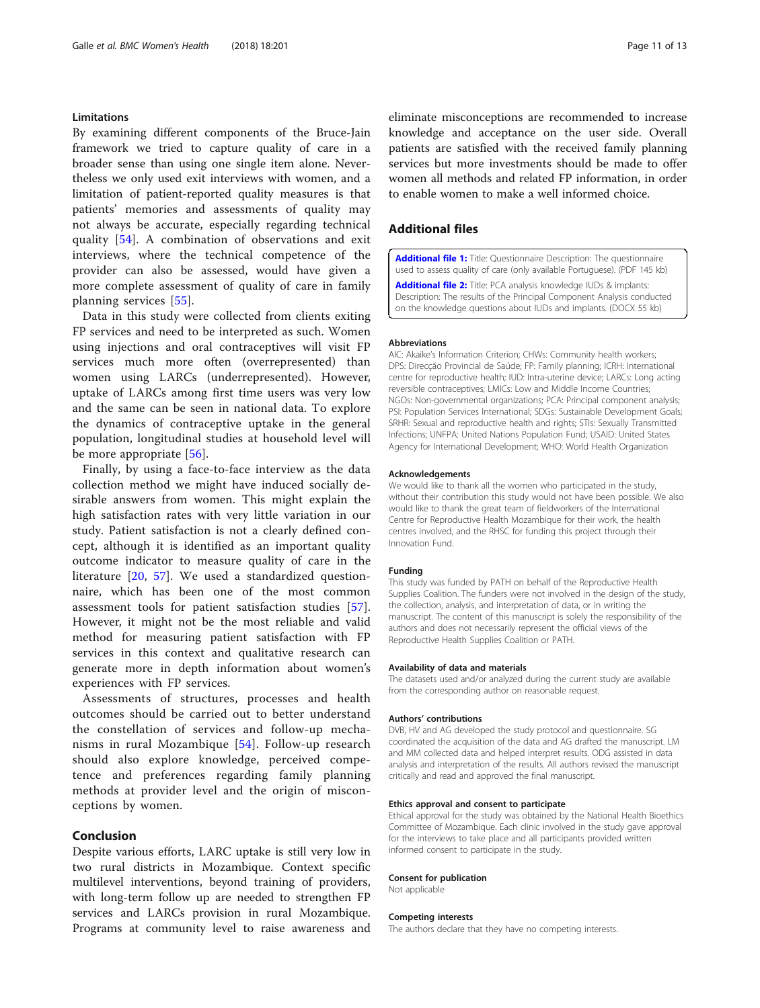### <span id="page-10-0"></span>Limitations

By examining different components of the Bruce-Jain framework we tried to capture quality of care in a broader sense than using one single item alone. Nevertheless we only used exit interviews with women, and a limitation of patient-reported quality measures is that patients' memories and assessments of quality may not always be accurate, especially regarding technical quality [\[54](#page-12-0)]. A combination of observations and exit interviews, where the technical competence of the provider can also be assessed, would have given a more complete assessment of quality of care in family planning services [[55\]](#page-12-0).

Data in this study were collected from clients exiting FP services and need to be interpreted as such. Women using injections and oral contraceptives will visit FP services much more often (overrepresented) than women using LARCs (underrepresented). However, uptake of LARCs among first time users was very low and the same can be seen in national data. To explore the dynamics of contraceptive uptake in the general population, longitudinal studies at household level will be more appropriate [\[56](#page-12-0)].

Finally, by using a face-to-face interview as the data collection method we might have induced socially desirable answers from women. This might explain the high satisfaction rates with very little variation in our study. Patient satisfaction is not a clearly defined concept, although it is identified as an important quality outcome indicator to measure quality of care in the literature [[20](#page-11-0), [57](#page-12-0)]. We used a standardized questionnaire, which has been one of the most common assessment tools for patient satisfaction studies [\[57](#page-12-0)]. However, it might not be the most reliable and valid method for measuring patient satisfaction with FP services in this context and qualitative research can generate more in depth information about women's experiences with FP services.

Assessments of structures, processes and health outcomes should be carried out to better understand the constellation of services and follow-up mechanisms in rural Mozambique [\[54](#page-12-0)]. Follow-up research should also explore knowledge, perceived competence and preferences regarding family planning methods at provider level and the origin of misconceptions by women.

### Conclusion

Despite various efforts, LARC uptake is still very low in two rural districts in Mozambique. Context specific multilevel interventions, beyond training of providers, with long-term follow up are needed to strengthen FP services and LARCs provision in rural Mozambique. Programs at community level to raise awareness and eliminate misconceptions are recommended to increase knowledge and acceptance on the user side. Overall patients are satisfied with the received family planning services but more investments should be made to offer women all methods and related FP information, in order to enable women to make a well informed choice.

### Additional files

[Additional file 1:](https://doi.org/10.1186/s12905-018-0692-z) Title: Questionnaire Description: The questionnaire used to assess quality of care (only available Portuguese). (PDF 145 kb)

[Additional file 2:](https://doi.org/10.1186/s12905-018-0692-z) Title: PCA analysis knowledge IUDs & implants: Description: The results of the Principal Component Analysis conducted on the knowledge questions about IUDs and implants. (DOCX 55 kb)

### Abbreviations

AIC: Akaike's Information Criterion; CHWs: Community health workers; DPS: Direcção Provincial de Saúde; FP: Family planning; ICRH: International centre for reproductive health; IUD: Intra-uterine device; LARCs: Long acting reversible contraceptives; LMICs: Low and Middle Income Countries; NGOs: Non-governmental organizations; PCA: Principal component analysis; PSI: Population Services International; SDGs: Sustainable Development Goals; SRHR: Sexual and reproductive health and rights; STIs: Sexually Transmitted Infections; UNFPA: United Nations Population Fund; USAID: United States Agency for International Development; WHO: World Health Organization

### Acknowledgements

We would like to thank all the women who participated in the study, without their contribution this study would not have been possible. We also would like to thank the great team of fieldworkers of the International Centre for Reproductive Health Mozambique for their work, the health centres involved, and the RHSC for funding this project through their Innovation Fund.

### Funding

This study was funded by PATH on behalf of the Reproductive Health Supplies Coalition. The funders were not involved in the design of the study, the collection, analysis, and interpretation of data, or in writing the manuscript. The content of this manuscript is solely the responsibility of the authors and does not necessarily represent the official views of the Reproductive Health Supplies Coalition or PATH.

### Availability of data and materials

The datasets used and/or analyzed during the current study are available from the corresponding author on reasonable request.

### Authors' contributions

DVB, HV and AG developed the study protocol and questionnaire. SG coordinated the acquisition of the data and AG drafted the manuscript. LM and MM collected data and helped interpret results. ODG assisted in data analysis and interpretation of the results. All authors revised the manuscript critically and read and approved the final manuscript.

### Ethics approval and consent to participate

Ethical approval for the study was obtained by the National Health Bioethics Committee of Mozambique. Each clinic involved in the study gave approval for the interviews to take place and all participants provided written informed consent to participate in the study.

### Consent for publication

Not applicable

### Competing interests

The authors declare that they have no competing interests.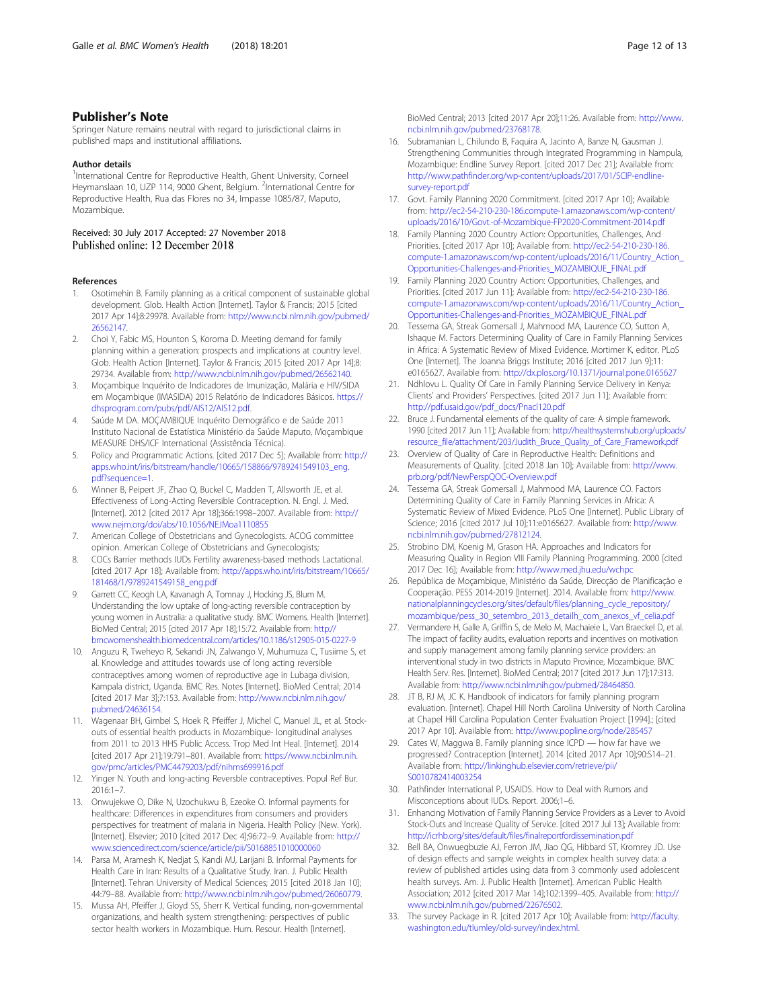### <span id="page-11-0"></span>Publisher's Note

Springer Nature remains neutral with regard to jurisdictional claims in published maps and institutional affiliations.

### Author details

<sup>1</sup>International Centre for Reproductive Health, Ghent University, Corneel Heymanslaan 10, UZP 114, 9000 Ghent, Belgium. <sup>2</sup>International Centre for Reproductive Health, Rua das Flores no 34, Impasse 1085/87, Maputo, Mozambique.

Received: 30 July 2017 Accepted: 27 November 2018 Published online: 12 December 2018

### References

- 1. Osotimehin B. Family planning as a critical component of sustainable global development. Glob. Health Action [Internet]. Taylor & Francis; 2015 [cited 2017 Apr 14];8:29978. Available from: [http://www.ncbi.nlm.nih.gov/pubmed/](http://www.ncbi.nlm.nih.gov/pubmed/26562147) [26562147.](http://www.ncbi.nlm.nih.gov/pubmed/26562147)
- 2. Choi Y, Fabic MS, Hounton S, Koroma D. Meeting demand for family planning within a generation: prospects and implications at country level. Glob. Health Action [Internet]. Taylor & Francis; 2015 [cited 2017 Apr 14];8: 29734. Available from: [http://www.ncbi.nlm.nih.gov/pubmed/26562140.](http://www.ncbi.nlm.nih.gov/pubmed/26562140)
- 3. Moçambique Inquérito de Indicadores de Imunização, Malária e HIV/SIDA em Moçambique (IMASIDA) 2015 Relatório de Indicadores Básicos. [https://](https://dhsprogram.com/pubs/pdf/AIS12/AIS12.pdf) [dhsprogram.com/pubs/pdf/AIS12/AIS12.pdf](https://dhsprogram.com/pubs/pdf/AIS12/AIS12.pdf).
- 4. Saúde M DA. MOÇAMBIQUE Inquérito Demográfico e de Saúde 2011 Instituto Nacional de Estatística Ministério da Saúde Maputo, Moçambique MEASURE DHS/ICF International (Assistência Técnica).
- Policy and Programmatic Actions. [cited 2017 Dec 5]; Available from: [http://](http://apps.who.int/iris/bitstream/handle/10665/158866/9789241549103_eng.pdf?sequence=1) [apps.who.int/iris/bitstream/handle/10665/158866/9789241549103\\_eng.](http://apps.who.int/iris/bitstream/handle/10665/158866/9789241549103_eng.pdf?sequence=1) [pdf?sequence=1.](http://apps.who.int/iris/bitstream/handle/10665/158866/9789241549103_eng.pdf?sequence=1)
- 6. Winner B, Peipert JF, Zhao Q, Buckel C, Madden T, Allsworth JE, et al. Effectiveness of Long-Acting Reversible Contraception. N. Engl. J. Med. [Internet]. 2012 [cited 2017 Apr 18];366:1998–2007. Available from: [http://](http://www.nejm.org/doi/abs/10.1056/NEJMoa1110855) [www.nejm.org/doi/abs/10.1056/NEJMoa1110855](http://www.nejm.org/doi/abs/10.1056/NEJMoa1110855)
- 7. American College of Obstetricians and Gynecologists. ACOG committee opinion. American College of Obstetricians and Gynecologists;
- 8. COCs Barrier methods IUDs Fertility awareness-based methods Lactational. [cited 2017 Apr 18]; Available from: [http://apps.who.int/iris/bitstream/10665/](http://apps.who.int/iris/bitstream/10665/181468/1/9789241549158_eng.pdf) [181468/1/9789241549158\\_eng.pdf](http://apps.who.int/iris/bitstream/10665/181468/1/9789241549158_eng.pdf)
- 9. Garrett CC, Keogh LA, Kavanagh A, Tomnay J, Hocking JS, Blum M. Understanding the low uptake of long-acting reversible contraception by young women in Australia: a qualitative study. BMC Womens. Health [Internet]. BioMed Central; 2015 [cited 2017 Apr 18];15:72. Available from: [http://](http://bmcwomenshealth.biomedcentral.com/articles/10.1186/s12905-015-0227-9) [bmcwomenshealth.biomedcentral.com/articles/10.1186/s12905-015-0227-9](http://bmcwomenshealth.biomedcentral.com/articles/10.1186/s12905-015-0227-9)
- 10. Anguzu R, Tweheyo R, Sekandi JN, Zalwango V, Muhumuza C, Tusiime S, et al. Knowledge and attitudes towards use of long acting reversible contraceptives among women of reproductive age in Lubaga division, Kampala district, Uganda. BMC Res. Notes [Internet]. BioMed Central; 2014 [cited 2017 Mar 3];7:153. Available from: [http://www.ncbi.nlm.nih.gov/](http://www.ncbi.nlm.nih.gov/pubmed/24636154) [pubmed/24636154.](http://www.ncbi.nlm.nih.gov/pubmed/24636154)
- 11. Wagenaar BH, Gimbel S, Hoek R, Pfeiffer J, Michel C, Manuel JL, et al. Stockouts of essential health products in Mozambique- longitudinal analyses from 2011 to 2013 HHS Public Access. Trop Med Int Heal. [Internet]. 2014 [cited 2017 Apr 21];19:791–801. Available from: [https://www.ncbi.nlm.nih.](https://www.ncbi.nlm.nih.gov/pmc/articles/PMC4479203/pdf/nihms699916.pdf) [gov/pmc/articles/PMC4479203/pdf/nihms699916.pdf](https://www.ncbi.nlm.nih.gov/pmc/articles/PMC4479203/pdf/nihms699916.pdf)
- 12. Yinger N. Youth and long-acting Reversble contraceptives. Popul Ref Bur. 2016:1–7.
- 13. Onwujekwe O, Dike N, Uzochukwu B, Ezeoke O. Informal payments for healthcare: Differences in expenditures from consumers and providers perspectives for treatment of malaria in Nigeria. Health Policy (New. York). [Internet]. Elsevier; 2010 [cited 2017 Dec 4];96:72–9. Available from: [http://](http://www.sciencedirect.com/science/article/pii/S0168851010000060) [www.sciencedirect.com/science/article/pii/S0168851010000060](http://www.sciencedirect.com/science/article/pii/S0168851010000060)
- 14. Parsa M, Aramesh K, Nedjat S, Kandi MJ, Larijani B. Informal Payments for Health Care in Iran: Results of a Qualitative Study. Iran. J. Public Health [Internet]. Tehran University of Medical Sciences; 2015 [cited 2018 Jan 10]; 44:79–88. Available from: [http://www.ncbi.nlm.nih.gov/pubmed/26060779.](http://www.ncbi.nlm.nih.gov/pubmed/26060779)
- 15. Mussa AH, Pfeiffer J, Gloyd SS, Sherr K. Vertical funding, non-governmental organizations, and health system strengthening: perspectives of public sector health workers in Mozambique. Hum. Resour. Health [Internet].

BioMed Central; 2013 [cited 2017 Apr 20];11:26. Available from: [http://www.](http://www.ncbi.nlm.nih.gov/pubmed/23768178) [ncbi.nlm.nih.gov/pubmed/23768178](http://www.ncbi.nlm.nih.gov/pubmed/23768178).

- 16. Subramanian L, Chilundo B, Faquira A, Jacinto A, Banze N, Gausman J. Strengthening Communities through Integrated Programming in Nampula, Mozambique: Endline Survey Report. [cited 2017 Dec 21]; Available from: [http://www.pathfinder.org/wp-content/uploads/2017/01/SCIP-endline](http://www.pathfinder.org/wp-content/uploads/2017/01/SCIP-endline-survey-report.pdf)[survey-report.pdf](http://www.pathfinder.org/wp-content/uploads/2017/01/SCIP-endline-survey-report.pdf)
- 17. Govt. Family Planning 2020 Commitment. [cited 2017 Apr 10]; Available from: [http://ec2-54-210-230-186.compute-1.amazonaws.com/wp-content/](http://ec2-54-210-230-186.compute-1.amazonaws.com/wp-content/uploads/2016/10/Govt.-of-Mozambique-FP2020-Commitment-2014.pdf) [uploads/2016/10/Govt.-of-Mozambique-FP2020-Commitment-2014.pdf](http://ec2-54-210-230-186.compute-1.amazonaws.com/wp-content/uploads/2016/10/Govt.-of-Mozambique-FP2020-Commitment-2014.pdf)
- 18. Family Planning 2020 Country Action: Opportunities, Challenges, And Priorities. [cited 2017 Apr 10]; Available from: [http://ec2-54-210-230-186.](http://ec2-54-210-230-186.compute-1.amazonaws.com/wp-content/uploads/2016/11/Country_Action_Opportunities-Challenges-and-Priorities_MOZAMBIQUE_FINAL.pdf) [compute-1.amazonaws.com/wp-content/uploads/2016/11/Country\\_Action\\_](http://ec2-54-210-230-186.compute-1.amazonaws.com/wp-content/uploads/2016/11/Country_Action_Opportunities-Challenges-and-Priorities_MOZAMBIQUE_FINAL.pdf) [Opportunities-Challenges-and-Priorities\\_MOZAMBIQUE\\_FINAL.pdf](http://ec2-54-210-230-186.compute-1.amazonaws.com/wp-content/uploads/2016/11/Country_Action_Opportunities-Challenges-and-Priorities_MOZAMBIQUE_FINAL.pdf)
- 19. Family Planning 2020 Country Action: Opportunities, Challenges, and Priorities. [cited 2017 Jun 11]; Available from: [http://ec2-54-210-230-186.](http://ec2-54-210-230-186.compute-1.amazonaws.com/wp-content/uploads/2016/11/Country_Action_Opportunities-Challenges-and-Priorities_MOZAMBIQUE_FINAL.pdf) [compute-1.amazonaws.com/wp-content/uploads/2016/11/Country\\_Action\\_](http://ec2-54-210-230-186.compute-1.amazonaws.com/wp-content/uploads/2016/11/Country_Action_Opportunities-Challenges-and-Priorities_MOZAMBIQUE_FINAL.pdf) [Opportunities-Challenges-and-Priorities\\_MOZAMBIQUE\\_FINAL.pdf](http://ec2-54-210-230-186.compute-1.amazonaws.com/wp-content/uploads/2016/11/Country_Action_Opportunities-Challenges-and-Priorities_MOZAMBIQUE_FINAL.pdf)
- 20. Tessema GA, Streak Gomersall J, Mahmood MA, Laurence CO, Sutton A, Ishaque M. Factors Determining Quality of Care in Family Planning Services in Africa: A Systematic Review of Mixed Evidence. Mortimer K, editor. PLoS One [Internet]. The Joanna Briggs Institute; 2016 [cited 2017 Jun 9];11: e0165627. Available from: <http://dx.plos.org/10.1371/journal.pone.0165627>
- 21. Ndhlovu L. Quality Of Care in Family Planning Service Delivery in Kenya: Clients' and Providers' Perspectives. [cited 2017 Jun 11]; Available from: [http://pdf.usaid.gov/pdf\\_docs/Pnacl120.pdf](http://pdf.usaid.gov/pdf_docs/Pnacl120.pdf)
- 22. Bruce J. Fundamental elements of the quality of care: A simple framework. 1990 [cited 2017 Jun 11]; Available from: [http://healthsystemshub.org/uploads/](http://healthsystemshub.org/uploads/resource_file/attachment/203/Judith_Bruce_Quality_of_Care_Framework.pdf) [resource\\_file/attachment/203/Judith\\_Bruce\\_Quality\\_of\\_Care\\_Framework.pdf](http://healthsystemshub.org/uploads/resource_file/attachment/203/Judith_Bruce_Quality_of_Care_Framework.pdf)
- 23. Overview of Quality of Care in Reproductive Health: Definitions and Measurements of Quality. [cited 2018 Jan 10]; Available from: [http://www.](http://www.prb.org/pdf/NewPerspQOC-Overview.pdf) [prb.org/pdf/NewPerspQOC-Overview.pdf](http://www.prb.org/pdf/NewPerspQOC-Overview.pdf)
- 24. Tessema GA, Streak Gomersall J, Mahmood MA, Laurence CO. Factors Determining Quality of Care in Family Planning Services in Africa: A Systematic Review of Mixed Evidence. PLoS One [Internet]. Public Library of Science; 2016 [cited 2017 Jul 10];11:e0165627. Available from: [http://www.](http://www.ncbi.nlm.nih.gov/pubmed/27812124) [ncbi.nlm.nih.gov/pubmed/27812124](http://www.ncbi.nlm.nih.gov/pubmed/27812124).
- 25. Strobino DM, Koenig M, Grason HA. Approaches and Indicators for Measuring Quality in Region VIII Family Planning Programming. 2000 [cited 2017 Dec 16]; Available from: <http://www.med.jhu.edu/wchpc>
- 26. República de Moçambique, Ministério da Saúde, Direcção de Planificação e Cooperação. PESS 2014-2019 [Internet]. 2014. Available from: [http://www.](http://www.nationalplanningcycles.org/sites/default/files/planning_cycle_repository/mozambique/pess_30_setembro_2013_detailh_com_anexos_vf_celia.pdf) [nationalplanningcycles.org/sites/default/files/planning\\_cycle\\_repository/](http://www.nationalplanningcycles.org/sites/default/files/planning_cycle_repository/mozambique/pess_30_setembro_2013_detailh_com_anexos_vf_celia.pdf) [mozambique/pess\\_30\\_setembro\\_2013\\_detailh\\_com\\_anexos\\_vf\\_celia.pdf](http://www.nationalplanningcycles.org/sites/default/files/planning_cycle_repository/mozambique/pess_30_setembro_2013_detailh_com_anexos_vf_celia.pdf)
- 27. Vermandere H, Galle A, Griffin S, de Melo M, Machaieie L, Van Braeckel D, et al. The impact of facility audits, evaluation reports and incentives on motivation and supply management among family planning service providers: an interventional study in two districts in Maputo Province, Mozambique. BMC Health Serv. Res. [Internet]. BioMed Central; 2017 [cited 2017 Jun 17];17:313. Available from: [http://www.ncbi.nlm.nih.gov/pubmed/28464850.](http://www.ncbi.nlm.nih.gov/pubmed/28464850)
- 28. JT B, RJ M, JC K. Handbook of indicators for family planning program evaluation. [Internet]. Chapel Hill North Carolina University of North Carolina at Chapel Hill Carolina Population Center Evaluation Project [1994].; [cited 2017 Apr 10]. Available from: <http://www.popline.org/node/285457>
- 29. Cates W, Maggwa B. Family planning since ICPD how far have we progressed? Contraception [Internet]. 2014 [cited 2017 Apr 10];90:S14–21. Available from: [http://linkinghub.elsevier.com/retrieve/pii/](http://linkinghub.elsevier.com/retrieve/pii/S0010782414003254) [S0010782414003254](http://linkinghub.elsevier.com/retrieve/pii/S0010782414003254)
- 30. Pathfinder International P, USAIDS. How to Deal with Rumors and Misconceptions about IUDs. Report. 2006;1–6.
- 31. Enhancing Motivation of Family Planning Service Providers as a Lever to Avoid Stock-Outs and Increase Quality of Service. [cited 2017 Jul 13]; Available from: <http://icrhb.org/sites/default/files/finalreportfordissemination.pdf>
- 32. Bell BA, Onwuegbuzie AJ, Ferron JM, Jiao QG, Hibbard ST, Kromrey JD. Use of design effects and sample weights in complex health survey data: a review of published articles using data from 3 commonly used adolescent health surveys. Am. J. Public Health [Internet]. American Public Health Association; 2012 [cited 2017 Mar 14];102:1399–405. Available from: [http://](http://www.ncbi.nlm.nih.gov/pubmed/22676502) [www.ncbi.nlm.nih.gov/pubmed/22676502.](http://www.ncbi.nlm.nih.gov/pubmed/22676502)
- 33. The survey Package in R. [cited 2017 Apr 10]; Available from: [http://faculty.](http://faculty.washington.edu/tlumley/old-survey/index.html) [washington.edu/tlumley/old-survey/index.html](http://faculty.washington.edu/tlumley/old-survey/index.html).